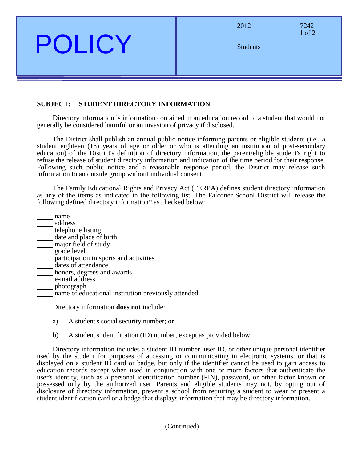POLICY

| 2012            | 7242<br>$1$ of $2$ |
|-----------------|--------------------|
| <b>Students</b> |                    |

# **SUBJECT: STUDENT DIRECTORY INFORMATION**

Directory information is information contained in an education record of a student that would not generally be considered harmful or an invasion of privacy if disclosed.

The District shall publish an annual public notice informing parents or eligible students (i.e., a student eighteen (18) years of age or older or who is attending an institution of post-secondary education) of the District's definition of directory information, the parent/eligible student's right to refuse the release of student directory information and indication of the time period for their response. Following such public notice and a reasonable response period, the District may release such information to an outside group without individual consent.

The Family Educational Rights and Privacy Act (FERPA) defines student directory information as any of the items as indicated in the following list. The Falconer School District will release the following defined directory information\* as checked below:

- name
- address
- telephone listing date and place of birth
- major field of study
- grade level
- participation in sports and activities
- dates of attendance
- honors, degrees and awards
- e-mail address
- photograph
- name of educational institution previously attended

Directory information **does not** include:

- a) A student's social security number; or
- b) A student's identification (ID) number, except as provided below.

Directory information includes a student ID number, user ID, or other unique personal identifier used by the student for purposes of accessing or communicating in electronic systems, or that is displayed on a student ID card or badge, but only if the identifier cannot be used to gain access to education records except when used in conjunction with one or more factors that authenticate the user's identity, such as a personal identification number (PIN), password, or other factor known or possessed only by the authorized user. Parents and eligible students may not, by opting out of disclosure of directory information, prevent a school from requiring a student to wear or present a student identification card or a badge that displays information that may be directory information.